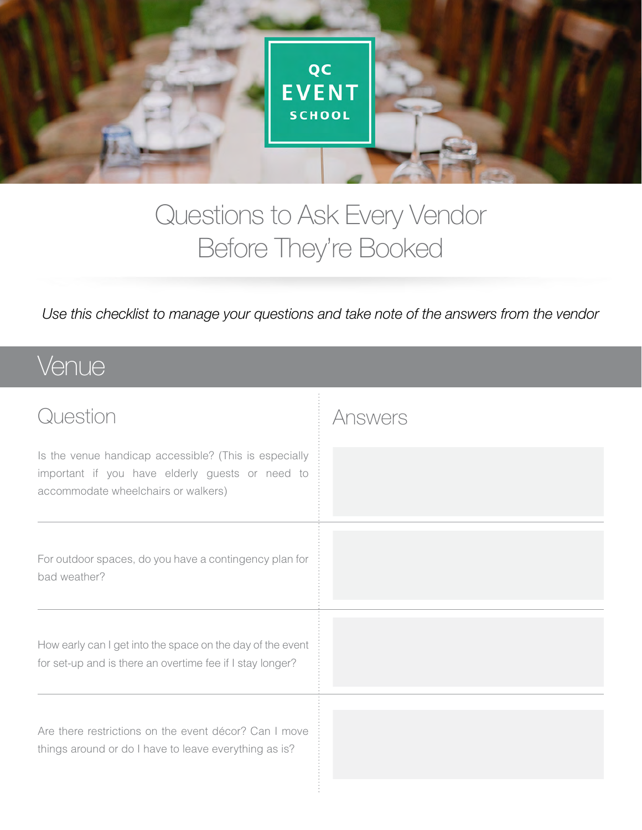

### Questions to Ask Every Vendor Before They're Booked

*Use this checklist to manage your questions and take note of the answers from the vendor*

#### Venue

| Question                                                                                                                                        | Answers |
|-------------------------------------------------------------------------------------------------------------------------------------------------|---------|
| Is the venue handicap accessible? (This is especially<br>important if you have elderly guests or need to<br>accommodate wheelchairs or walkers) |         |
| For outdoor spaces, do you have a contingency plan for<br>bad weather?                                                                          |         |
| How early can I get into the space on the day of the event<br>for set-up and is there an overtime fee if I stay longer?                         |         |
| Are there restrictions on the event décor? Can I move<br>things around or do I have to leave everything as is?                                  |         |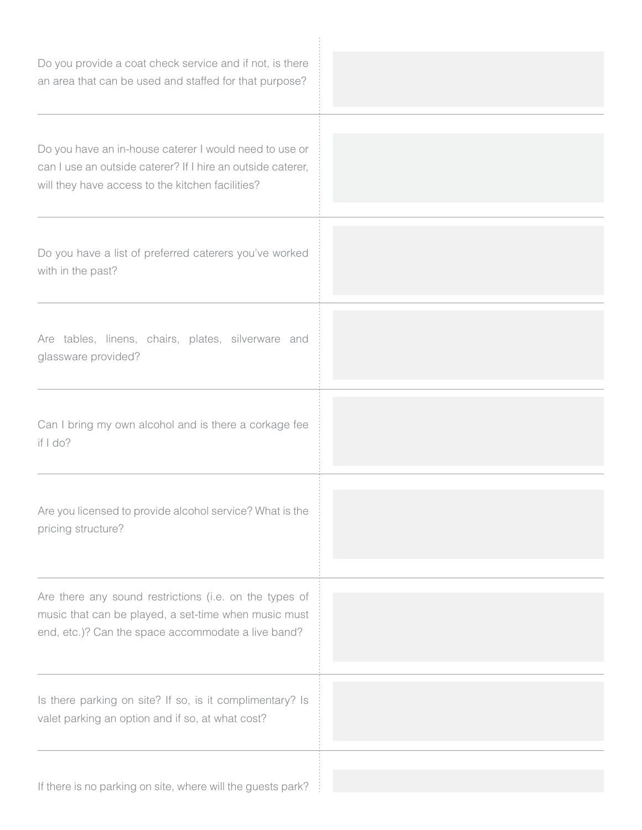| Do you provide a coat check service and if not, is there<br>an area that can be used and staffed for that purpose?                                                        |  |
|---------------------------------------------------------------------------------------------------------------------------------------------------------------------------|--|
| Do you have an in-house caterer I would need to use or<br>can I use an outside caterer? If I hire an outside caterer,<br>will they have access to the kitchen facilities? |  |
| Do you have a list of preferred caterers you've worked<br>with in the past?                                                                                               |  |
| Are tables, linens, chairs, plates, silverware and<br>glassware provided?                                                                                                 |  |
| Can I bring my own alcohol and is there a corkage fee<br>if $1$ do?                                                                                                       |  |
| Are you licensed to provide alcohol service? What is the<br>pricing structure?                                                                                            |  |
| Are there any sound restrictions (i.e. on the types of<br>music that can be played, a set-time when music must<br>end, etc.)? Can the space accommodate a live band?      |  |
| Is there parking on site? If so, is it complimentary? Is<br>valet parking an option and if so, at what cost?                                                              |  |
| If there is no parking on site, where will the guests park?                                                                                                               |  |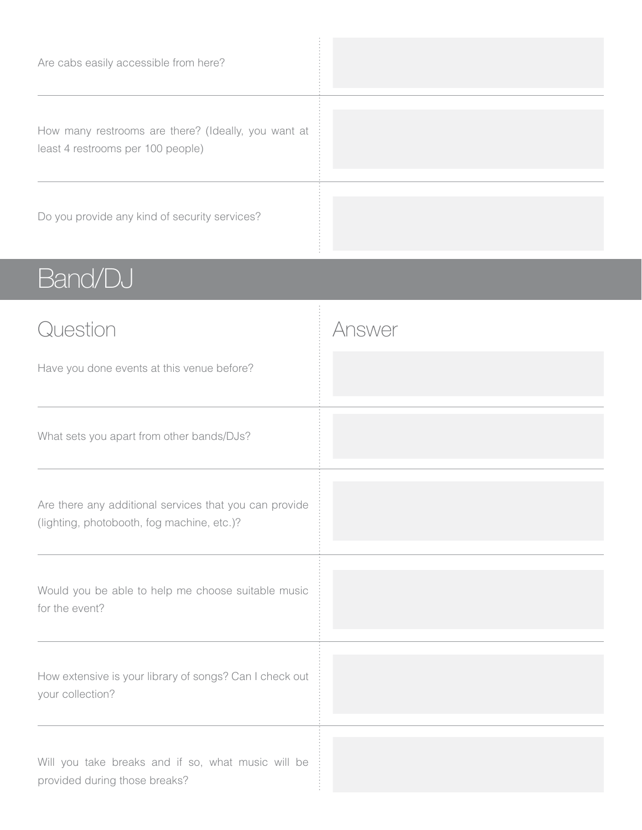| Are cabs easily accessible from here?                                                    |  |
|------------------------------------------------------------------------------------------|--|
| How many restrooms are there? (Ideally, you want at<br>least 4 restrooms per 100 people) |  |
| Do you provide any kind of security services?                                            |  |

# Band/DJ

| Question                                                                                             | Answer |
|------------------------------------------------------------------------------------------------------|--------|
| Have you done events at this venue before?                                                           |        |
| What sets you apart from other bands/DJs?                                                            |        |
| Are there any additional services that you can provide<br>(lighting, photobooth, fog machine, etc.)? |        |
| Would you be able to help me choose suitable music<br>for the event?                                 |        |
| How extensive is your library of songs? Can I check out<br>your collection?                          |        |
| Will you take breaks and if so, what music will be<br>provided during those breaks?                  |        |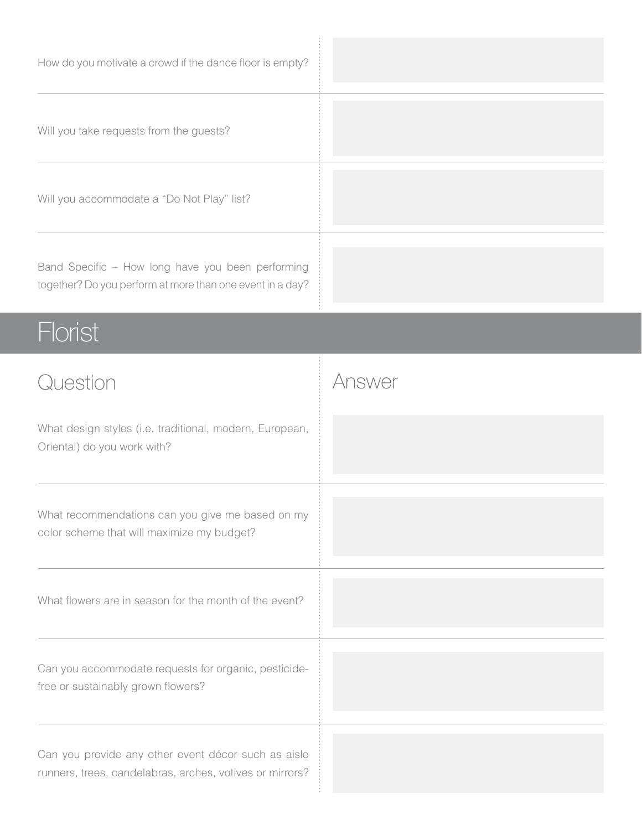| How do you motivate a crowd if the dance floor is empty?                                                       |        |
|----------------------------------------------------------------------------------------------------------------|--------|
| Will you take requests from the guests?                                                                        |        |
| Will you accommodate a "Do Not Play" list?                                                                     |        |
| Band Specific - How long have you been performing<br>together? Do you perform at more than one event in a day? |        |
| <b>Florist</b>                                                                                                 |        |
| Question                                                                                                       | Answer |
| What design styles (i.e. traditional, modern, European,<br>Oriental) do you work with?                         |        |
|                                                                                                                |        |
| What recommendations can you give me based on my<br>color scheme that will maximize my budget?                 |        |
| What flowers are in season for the month of the event?                                                         |        |
| Can you accommodate requests for organic, pesticide-<br>free or sustainably grown flowers?                     |        |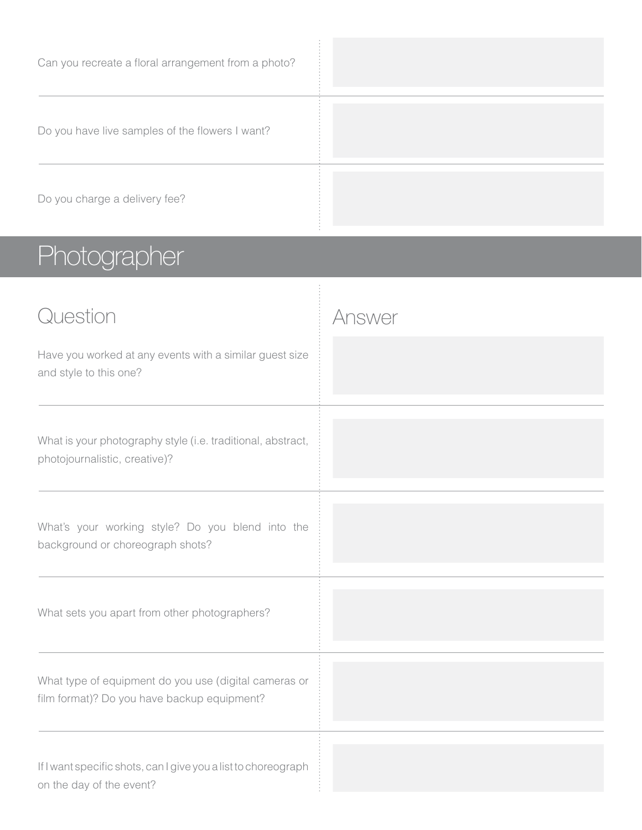| Can you recreate a floral arrangement from a photo? |  |
|-----------------------------------------------------|--|
| Do you have live samples of the flowers I want?     |  |
| Do you charge a delivery fee?                       |  |

# Photographer

| Question<br>Have you worked at any events with a similar guest size<br>and style to this one?        | Answer |
|------------------------------------------------------------------------------------------------------|--------|
| What is your photography style (i.e. traditional, abstract,<br>photojournalistic, creative)?         |        |
| What's your working style? Do you blend into the<br>background or choreograph shots?                 |        |
| What sets you apart from other photographers?                                                        |        |
| What type of equipment do you use (digital cameras or<br>film format)? Do you have backup equipment? |        |
| If I want specific shots, can I give you a list to choreograph<br>on the day of the event?           |        |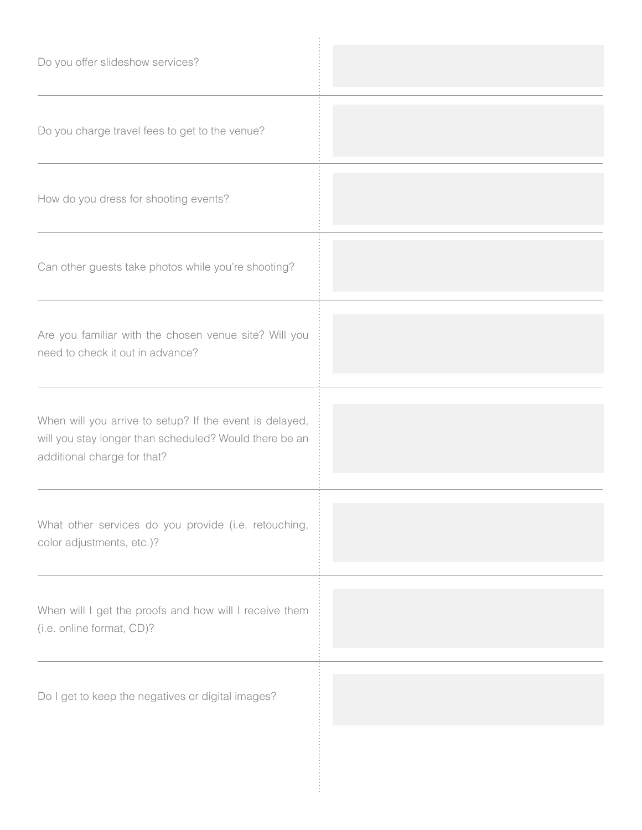| Do you offer slideshow services?                                                                                                                 |  |
|--------------------------------------------------------------------------------------------------------------------------------------------------|--|
| Do you charge travel fees to get to the venue?                                                                                                   |  |
| How do you dress for shooting events?                                                                                                            |  |
| Can other guests take photos while you're shooting?                                                                                              |  |
| Are you familiar with the chosen venue site? Will you<br>need to check it out in advance?                                                        |  |
| When will you arrive to setup? If the event is delayed,<br>will you stay longer than scheduled? Would there be an<br>additional charge for that? |  |
| What other services do you provide (i.e. retouching,<br>color adjustments, etc.)?                                                                |  |
| When will I get the proofs and how will I receive them<br>(i.e. online format, CD)?                                                              |  |
| Do I get to keep the negatives or digital images?                                                                                                |  |
|                                                                                                                                                  |  |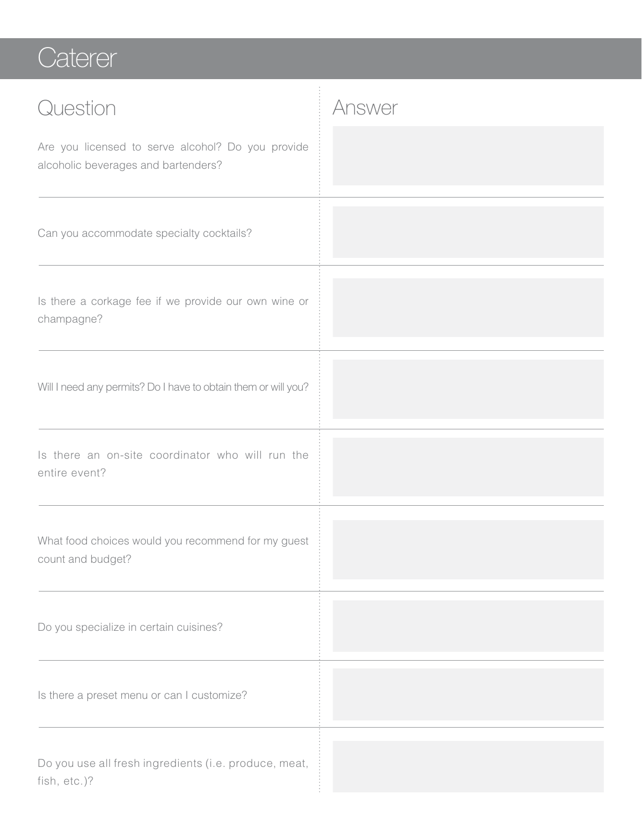#### **Caterer**

| Question                                                                                 | Answer |
|------------------------------------------------------------------------------------------|--------|
| Are you licensed to serve alcohol? Do you provide<br>alcoholic beverages and bartenders? |        |
| Can you accommodate specialty cocktails?                                                 |        |
| Is there a corkage fee if we provide our own wine or<br>champagne?                       |        |
| Will I need any permits? Do I have to obtain them or will you?                           |        |
| Is there an on-site coordinator who will run the<br>entire event?                        |        |
| What food choices would you recommend for my guest<br>count and budget?                  |        |
| Do you specialize in certain cuisines?                                                   |        |
| Is there a preset menu or can I customize?                                               |        |
| Do you use all fresh ingredients (i.e. produce, meat,<br>fish, etc.)?                    |        |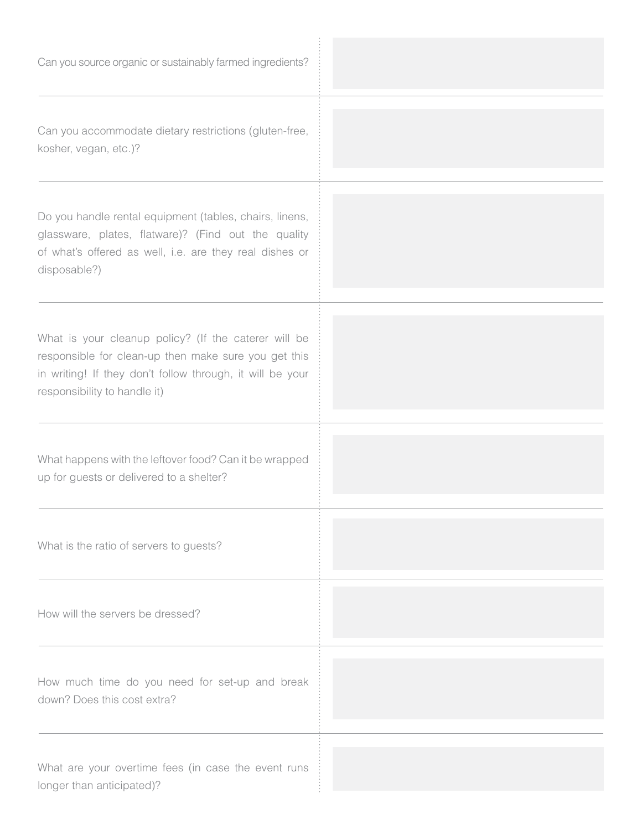| Can you source organic or sustainably farmed ingredients?                                                                                                                                                 |  |
|-----------------------------------------------------------------------------------------------------------------------------------------------------------------------------------------------------------|--|
| Can you accommodate dietary restrictions (gluten-free,<br>kosher, vegan, etc.)?                                                                                                                           |  |
| Do you handle rental equipment (tables, chairs, linens,<br>glassware, plates, flatware)? (Find out the quality<br>of what's offered as well, i.e. are they real dishes or<br>disposable?)                 |  |
| What is your cleanup policy? (If the caterer will be<br>responsible for clean-up then make sure you get this<br>in writing! If they don't follow through, it will be your<br>responsibility to handle it) |  |
| What happens with the leftover food? Can it be wrapped<br>up for guests or delivered to a shelter?                                                                                                        |  |
| What is the ratio of servers to guests?                                                                                                                                                                   |  |
| How will the servers be dressed?                                                                                                                                                                          |  |
| How much time do you need for set-up and break<br>down? Does this cost extra?                                                                                                                             |  |
| What are your overtime fees (in case the event runs<br>longer than anticipated)?                                                                                                                          |  |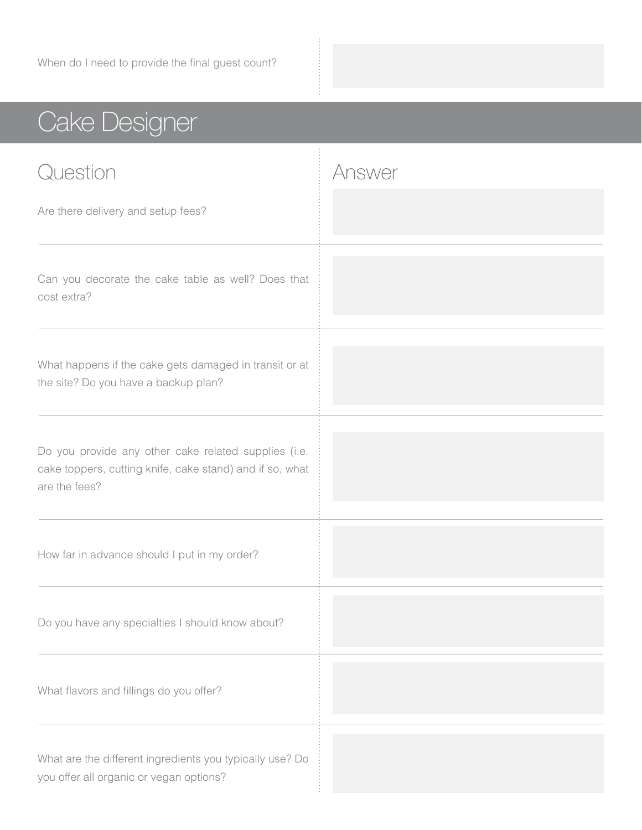## Cake Designer

| Question                                                                                                                          | Answer |
|-----------------------------------------------------------------------------------------------------------------------------------|--------|
| Are there delivery and setup fees?                                                                                                |        |
| Can you decorate the cake table as well? Does that<br>cost extra?                                                                 |        |
| What happens if the cake gets damaged in transit or at<br>the site? Do you have a backup plan?                                    |        |
| Do you provide any other cake related supplies (i.e.<br>cake toppers, cutting knife, cake stand) and if so, what<br>are the fees? |        |
| How far in advance should I put in my order?                                                                                      |        |
| Do you have any specialties I should know about?                                                                                  |        |
| What flavors and fillings do you offer?                                                                                           |        |
| What are the different ingredients you typically use? Do<br>you offer all organic or vegan options?                               |        |